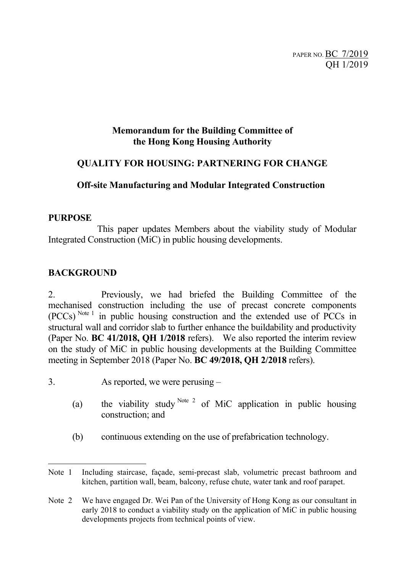PAPER NO. BC 7/2019 QH 1/2019

#### **Memorandum for the Building Committee of the Hong Kong Housing Authority**

#### **QUALITY FOR HOUSING: PARTNERING FOR CHANGE**

#### **Off-site Manufacturing and Modular Integrated Construction**

#### **PURPOSE**

This paper updates Members about the viability study of Modular Integrated Construction (MiC) in public housing developments.

#### **BACKGROUND**

2. Previously, we had briefed the Building Committee of the mechanised construction including the use of precast concrete components (PCCs) Note <sup>1</sup> in public housing construction and the extended use of PCCs in structural wall and corridor slab to further enhance the buildability and productivity (Paper No. **BC 41/2018, QH 1/2018** refers). We also reported the interim review on the study of MiC in public housing developments at the Building Committee meeting in September 2018 (Paper No. **BC 49/2018, QH 2/2018** refers).

- 3. As reported, we were perusing
	- (a) the viability study  $N^{ote 2}$  of MiC application in public housing construction; and
	- (b) continuous extending on the use of prefabrication technology.

Note 1 Including staircase, façade, semi-precast slab, volumetric precast bathroom and kitchen, partition wall, beam, balcony, refuse chute, water tank and roof parapet.

Note 2 We have engaged Dr. Wei Pan of the University of Hong Kong as our consultant in early 2018 to conduct a viability study on the application of MiC in public housing developments projects from technical points of view.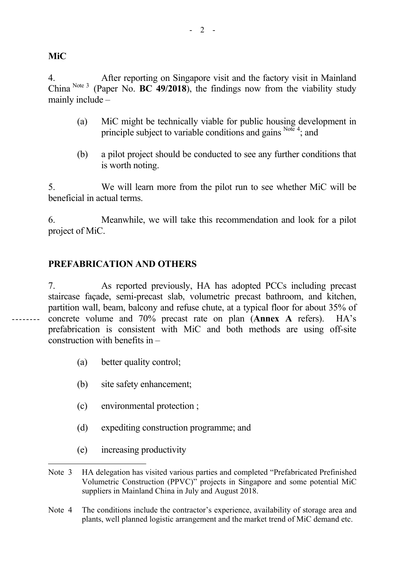**MiC** 

4. After reporting on Singapore visit and the factory visit in Mainland China Note 3 (Paper No. **BC 49/2018**), the findings now from the viability study mainly include –

- (a) MiC might be technically viable for public housing development in principle subject to variable conditions and gains  $^{Note 4}$ ; and
- (b) a pilot project should be conducted to see any further conditions that is worth noting.

5. We will learn more from the pilot run to see whether MiC will be beneficial in actual terms.

6. Meanwhile, we will take this recommendation and look for a pilot project of MiC.

#### **PREFABRICATION AND OTHERS**

7. As reported previously, HA has adopted PCCs including precast staircase façade, semi-precast slab, volumetric precast bathroom, and kitchen, partition wall, beam, balcony and refuse chute, at a typical floor for about 35% of concrete volume and 70% precast rate on plan (**Annex A** refers). HA's prefabrication is consistent with MiC and both methods are using off-site construction with benefits in –

- (a) better quality control;
- (b) site safety enhancement;
- (c) environmental protection ;
- (d) expediting construction programme; and
- (e) increasing productivity

Note 3 HA delegation has visited various parties and completed "Prefabricated Prefinished Volumetric Construction (PPVC)" projects in Singapore and some potential MiC suppliers in Mainland China in July and August 2018.

Note 4 The conditions include the contractor's experience, availability of storage area and plants, well planned logistic arrangement and the market trend of MiC demand etc.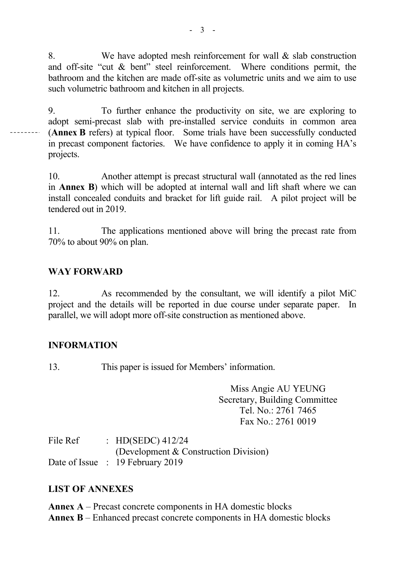8. We have adopted mesh reinforcement for wall & slab construction and off-site "cut & bent" steel reinforcement. Where conditions permit, the bathroom and the kitchen are made off-site as volumetric units and we aim to use such volumetric bathroom and kitchen in all projects.

9. To further enhance the productivity on site, we are exploring to adopt semi-precast slab with pre-installed service conduits in common area (**Annex B** refers) at typical floor. Some trials have been successfully conducted in precast component factories. We have confidence to apply it in coming HA's projects.

10. Another attempt is precast structural wall (annotated as the red lines in **Annex B**) which will be adopted at internal wall and lift shaft where we can install concealed conduits and bracket for lift guide rail. A pilot project will be tendered out in 2019.

11. The applications mentioned above will bring the precast rate from 70% to about 90% on plan.

#### **WAY FORWARD**

12. As recommended by the consultant, we will identify a pilot MiC project and the details will be reported in due course under separate paper. In parallel, we will adopt more off-site construction as mentioned above.

#### **INFORMATION**

13. This paper is issued for Members' information.

Miss Angie AU YEUNG Secretary, Building Committee Tel. No.: 2761 7465 Fax No.: 2761 0019

File Ref : HD(SEDC) 412/24 (Development & Construction Division) Date of Issue : 19 February 2019

#### **LIST OF ANNEXES**

**Annex A** – Precast concrete components in HA domestic blocks **Annex B** – Enhanced precast concrete components in HA domestic blocks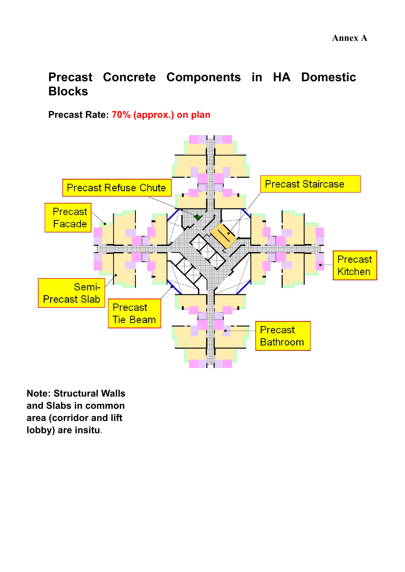# **Precast Concrete Components in HA Domestic Blocks**

## **Precast Rate: 70% (approx.) on plan**



**Note: Structural Walls and Slabs in common area (corridor and lift lobby) are insitu**.